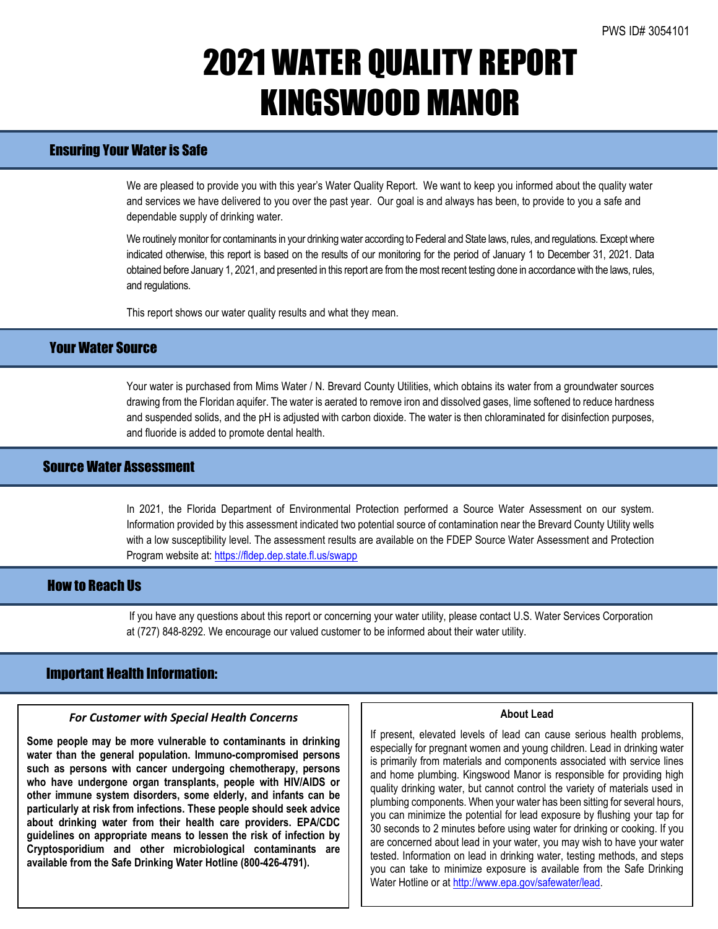# 2021 WATER QUALITY REPORT KINGSWOOD MANOR

## Ensuring Your Water is Safe

We are pleased to provide you with this year's Water Quality Report. We want to keep you informed about the quality water and services we have delivered to you over the past year. Our goal is and always has been, to provide to you a safe and dependable supply of drinking water.

We routinely monitor for contaminants in your drinking water according to Federal and State laws, rules, and regulations. Except where indicated otherwise, this report is based on the results of our monitoring for the period of January 1 to December 31, 2021. Data obtained before January 1, 2021, and presented in this report are from the most recent testing done in accordance with the laws, rules, and regulations.

This report shows our water quality results and what they mean.

## Your Water Source

Your water is purchased from Mims Water / N. Brevard County Utilities, which obtains its water from a groundwater sources drawing from the Floridan aquifer. The water is aerated to remove iron and dissolved gases, lime softened to reduce hardness and suspended solids, and the pH is adjusted with carbon dioxide. The water is then chloraminated for disinfection purposes, and fluoride is added to promote dental health.

## Source Water Assessment

In 2021, the Florida Department of Environmental Protection performed a Source Water Assessment on our system. Information provided by this assessment indicated two potential source of contamination near the Brevard County Utility wells with a low susceptibility level. The assessment results are available on the FDEP Source Water Assessment and Protection Program website at: <https://fldep.dep.state.fl.us/swapp>

## How to Reach Us

If you have any questions about this report or concerning your water utility, please contact U.S. Water Services Corporation at (727) 848-8292. We encourage our valued customer to be informed about their water utility.

## Important Health Information:

#### *For Customer with Special Health Concerns*

**Some people may be more vulnerable to contaminants in drinking water than the general population. Immuno-compromised persons such as persons with cancer undergoing chemotherapy, persons who have undergone organ transplants, people with HIV/AIDS or other immune system disorders, some elderly, and infants can be particularly at risk from infections. These people should seek advice about drinking water from their health care providers. EPA/CDC guidelines on appropriate means to lessen the risk of infection by Cryptosporidium and other microbiological contaminants are available from the Safe Drinking Water Hotline (800-426-4791).**

#### **About Lead**

If present, elevated levels of lead can cause serious health problems, especially for pregnant women and young children. Lead in drinking water is primarily from materials and components associated with service lines and home plumbing. Kingswood Manor is responsible for providing high quality drinking water, but cannot control the variety of materials used in plumbing components. When your water has been sitting for several hours, you can minimize the potential for lead exposure by flushing your tap for 30 seconds to 2 minutes before using water for drinking or cooking. If you are concerned about lead in your water, you may wish to have your water tested. Information on lead in drinking water, testing methods, and steps you can take to minimize exposure is available from the Safe Drinking Water Hotline or a[t http://www.epa.gov/safewater/lead.](http://www.epa.gov/safewater/lead)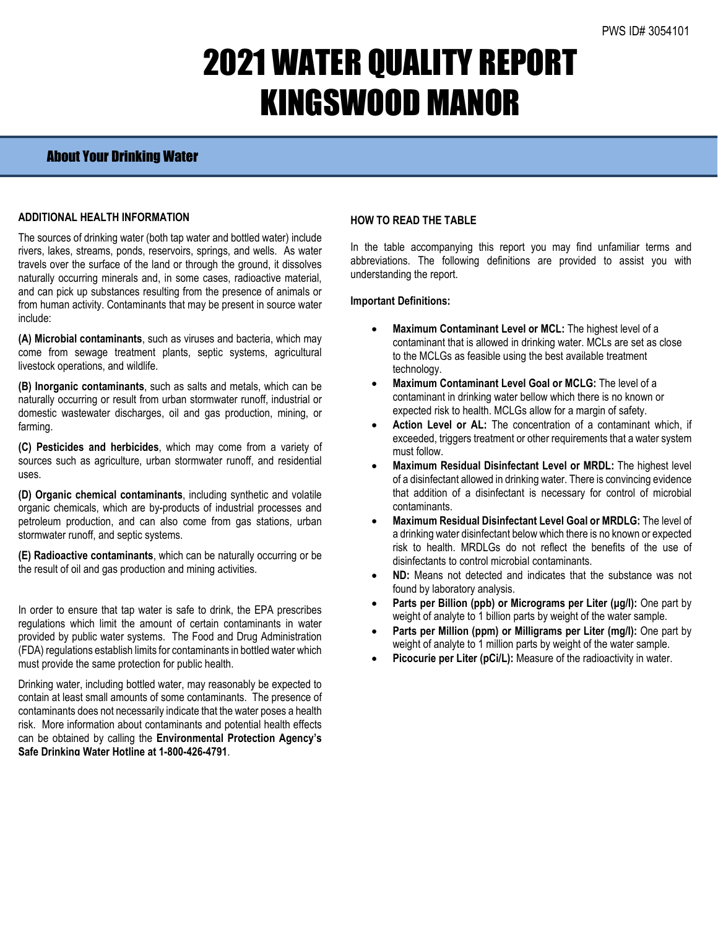# 2021 WATER QUALITY REPORT KINGSWOOD MANOR

## About Your Drinking Water

### **ADDITIONAL HEALTH INFORMATION**

The sources of drinking water (both tap water and bottled water) include rivers, lakes, streams, ponds, reservoirs, springs, and wells. As water travels over the surface of the land or through the ground, it dissolves naturally occurring minerals and, in some cases, radioactive material, and can pick up substances resulting from the presence of animals or from human activity. Contaminants that may be present in source water include:

**(A) Microbial contaminants**, such as viruses and bacteria, which may come from sewage treatment plants, septic systems, agricultural livestock operations, and wildlife.

**(B) Inorganic contaminants**, such as salts and metals, which can be naturally occurring or result from urban stormwater runoff, industrial or domestic wastewater discharges, oil and gas production, mining, or farming.

**(C) Pesticides and herbicides**, which may come from a variety of sources such as agriculture, urban stormwater runoff, and residential uses.

**(D) Organic chemical contaminants**, including synthetic and volatile organic chemicals, which are by-products of industrial processes and petroleum production, and can also come from gas stations, urban stormwater runoff, and septic systems.

**(E) Radioactive contaminants**, which can be naturally occurring or be the result of oil and gas production and mining activities.

In order to ensure that tap water is safe to drink, the EPA prescribes regulations which limit the amount of certain contaminants in water provided by public water systems. The Food and Drug Administration (FDA) regulations establish limits for contaminants in bottled water which must provide the same protection for public health.

Drinking water, including bottled water, may reasonably be expected to contain at least small amounts of some contaminants. The presence of contaminants does not necessarily indicate that the water poses a health risk. More information about contaminants and potential health effects can be obtained by calling the **Environmental Protection Agency's Safe Drinking Water Hotline at 1-800-426-4791**.

### **HOW TO READ THE TABLE**

In the table accompanying this report you may find unfamiliar terms and abbreviations. The following definitions are provided to assist you with understanding the report.

#### **Important Definitions:**

- **Maximum Contaminant Level or MCL:** The highest level of a contaminant that is allowed in drinking water. MCLs are set as close to the MCLGs as feasible using the best available treatment technology.
- **Maximum Contaminant Level Goal or MCLG:** The level of a contaminant in drinking water bellow which there is no known or expected risk to health. MCLGs allow for a margin of safety.
- Action Level or AL: The concentration of a contaminant which, if exceeded, triggers treatment or other requirements that a water system must follow.
- **Maximum Residual Disinfectant Level or MRDL:** The highest level of a disinfectant allowed in drinking water. There is convincing evidence that addition of a disinfectant is necessary for control of microbial contaminants.
- **Maximum Residual Disinfectant Level Goal or MRDLG:** The level of a drinking water disinfectant below which there is no known or expected risk to health. MRDLGs do not reflect the benefits of the use of disinfectants to control microbial contaminants.
- **ND:** Means not detected and indicates that the substance was not found by laboratory analysis.
- **Parts per Billion (ppb) or Micrograms per Liter (μg/l):** One part by weight of analyte to 1 billion parts by weight of the water sample.
- **Parts per Million (ppm) or Milligrams per Liter (mg/l):** One part by weight of analyte to 1 million parts by weight of the water sample.
- Picocurie per Liter (pCi/L): Measure of the radioactivity in water.